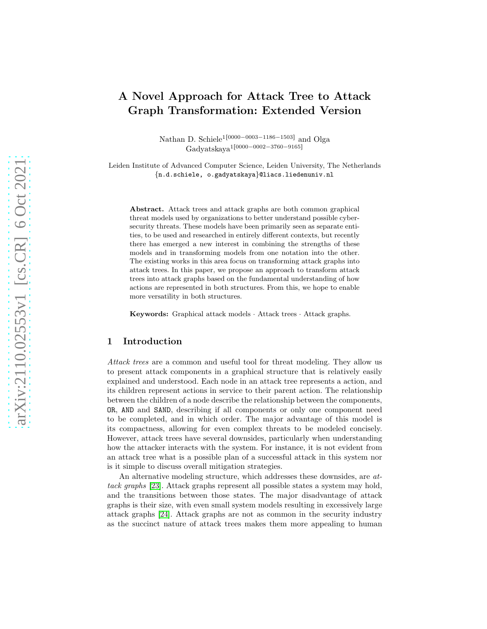# A Novel Approach for Attack Tree to Attack Graph Transformation: Extended Version

Nathan D. Schiele<sup>1[0000-0003-1186-1503]</sup> and Olga  $Gadyatskaya<sup>1</sup>[0000-0002-3760-9165]$ 

Leiden Institute of Advanced Computer Science, Leiden University, The Netherlands {n.d.schiele, o.gadyatskaya}@liacs.liedenuniv.nl

Abstract. Attack trees and attack graphs are both common graphical threat models used by organizations to better understand possible cybersecurity threats. These models have been primarily seen as separate entities, to be used and researched in entirely different contexts, but recently there has emerged a new interest in combining the strengths of these models and in transforming models from one notation into the other. The existing works in this area focus on transforming attack graphs into attack trees. In this paper, we propose an approach to transform attack trees into attack graphs based on the fundamental understanding of how actions are represented in both structures. From this, we hope to enable more versatility in both structures.

Keywords: Graphical attack models · Attack trees · Attack graphs.

### 1 Introduction

Attack trees are a common and useful tool for threat modeling. They allow us to present attack components in a graphical structure that is relatively easily explained and understood. Each node in an attack tree represents a action, and its children represent actions in service to their parent action. The relationship between the children of a node describe the relationship between the components, OR, AND and SAND, describing if all components or only one component need to be completed, and in which order. The major advantage of this model is its compactness, allowing for even complex threats to be modeled concisely. However, attack trees have several downsides, particularly when understanding how the attacker interacts with the system. For instance, it is not evident from an attack tree what is a possible plan of a successful attack in this system nor is it simple to discuss overall mitigation strategies.

An alternative modeling structure, which addresses these downsides, are attack graphs [\[23\]](#page-17-0). Attack graphs represent all possible states a system may hold, and the transitions between those states. The major disadvantage of attack graphs is their size, with even small system models resulting in excessively large attack graphs [\[24\]](#page-17-1). Attack graphs are not as common in the security industry as the succinct nature of attack trees makes them more appealing to human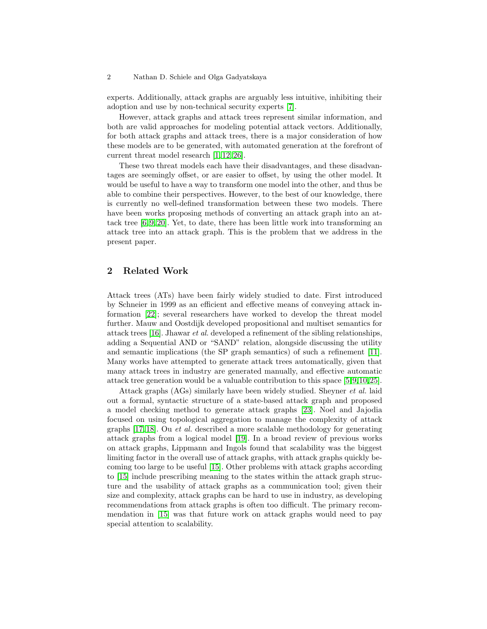experts. Additionally, attack graphs are arguably less intuitive, inhibiting their adoption and use by non-technical security experts [\[7\]](#page-16-0).

However, attack graphs and attack trees represent similar information, and both are valid approaches for modeling potential attack vectors. Additionally, for both attack graphs and attack trees, there is a major consideration of how these models are to be generated, with automated generation at the forefront of current threat model research [\[1,](#page-15-0) [12,](#page-16-1) [26\]](#page-17-2).

These two threat models each have their disadvantages, and these disadvantages are seemingly offset, or are easier to offset, by using the other model. It would be useful to have a way to transform one model into the other, and thus be able to combine their perspectives. However, to the best of our knowledge, there is currently no well-defined transformation between these two models. There have been works proposing methods of converting an attack graph into an attack tree  $[6, 9, 20]$  $[6, 9, 20]$  $[6, 9, 20]$ . Yet, to date, there has been little work into transforming an attack tree into an attack graph. This is the problem that we address in the present paper.

# 2 Related Work

Attack trees (ATs) have been fairly widely studied to date. First introduced by Schneier in 1999 as an efficient and effective means of conveying attack information [\[22\]](#page-17-3); several researchers have worked to develop the threat model further. Mauw and Oostdijk developed propositional and multiset semantics for attack trees [\[16\]](#page-16-5). Jhawar et al. developed a refinement of the sibling relationships, adding a Sequential AND or "SAND" relation, alongside discussing the utility and semantic implications (the SP graph semantics) of such a refinement [\[11\]](#page-16-6). Many works have attempted to generate attack trees automatically, given that many attack trees in industry are generated manually, and effective automatic attack tree generation would be a valuable contribution to this space [\[5,](#page-16-7)[9,](#page-16-3)[10,](#page-16-8)[25\]](#page-17-4).

Attack graphs (AGs) similarly have been widely studied. Sheyner et al. laid out a formal, syntactic structure of a state-based attack graph and proposed a model checking method to generate attack graphs [\[23\]](#page-17-0). Noel and Jajodia focused on using topological aggregation to manage the complexity of attack graphs [\[17,](#page-16-9) [18\]](#page-16-10). Ou et al. described a more scalable methodology for generating attack graphs from a logical model [\[19\]](#page-16-11). In a broad review of previous works on attack graphs, Lippmann and Ingols found that scalability was the biggest limiting factor in the overall use of attack graphs, with attack graphs quickly becoming too large to be useful [\[15\]](#page-16-12). Other problems with attack graphs according to [\[15\]](#page-16-12) include prescribing meaning to the states within the attack graph structure and the usability of attack graphs as a communication tool; given their size and complexity, attack graphs can be hard to use in industry, as developing recommendations from attack graphs is often too difficult. The primary recommendation in [\[15\]](#page-16-12) was that future work on attack graphs would need to pay special attention to scalability.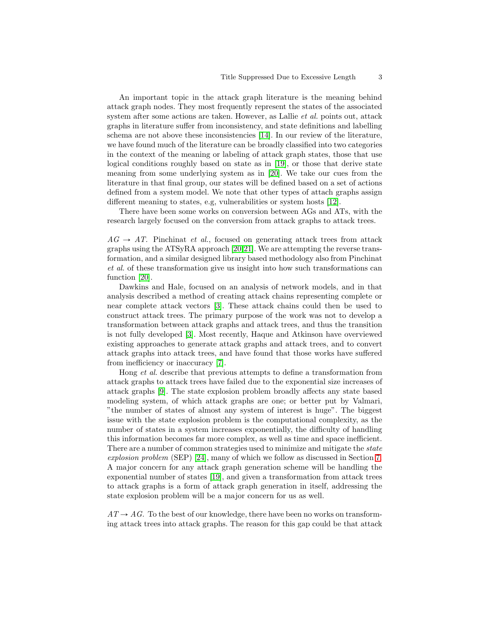An important topic in the attack graph literature is the meaning behind attack graph nodes. They most frequently represent the states of the associated system after some actions are taken. However, as Lallie et al. points out, attack graphs in literature suffer from inconsistency, and state definitions and labelling schema are not above these inconsistencies [\[14\]](#page-16-13). In our review of the literature, we have found much of the literature can be broadly classified into two categories in the context of the meaning or labeling of attack graph states, those that use logical conditions roughly based on state as in [\[19\]](#page-16-11), or those that derive state meaning from some underlying system as in [\[20\]](#page-16-4). We take our cues from the literature in that final group, our states will be defined based on a set of actions defined from a system model. We note that other types of attach graphs assign different meaning to states, e.g, vulnerabilities or system hosts [\[12\]](#page-16-1).

There have been some works on conversion between AGs and ATs, with the research largely focused on the conversion from attack graphs to attack trees.

 $AG \rightarrow AT$ . Pinchinat *et al.*, focused on generating attack trees from attack graphs using the ATSyRA approach [\[20,](#page-16-4)[21\]](#page-16-14). We are attempting the reverse transformation, and a similar designed library based methodology also from Pinchinat et al. of these transformation give us insight into how such transformations can function [\[20\]](#page-16-4).

Dawkins and Hale, focused on an analysis of network models, and in that analysis described a method of creating attack chains representing complete or near complete attack vectors [\[3\]](#page-16-15). These attack chains could then be used to construct attack trees. The primary purpose of the work was not to develop a transformation between attack graphs and attack trees, and thus the transition is not fully developed [\[3\]](#page-16-15). Most recently, Haque and Atkinson have overviewed existing approaches to generate attack graphs and attack trees, and to convert attack graphs into attack trees, and have found that those works have suffered from inefficiency or inaccuracy [\[7\]](#page-16-0).

Hong et al. describe that previous attempts to define a transformation from attack graphs to attack trees have failed due to the exponential size increases of attack graphs [\[9\]](#page-16-3). The state explosion problem broadly affects any state based modeling system, of which attack graphs are one; or better put by Valmari, "the number of states of almost any system of interest is huge". The biggest issue with the state explosion problem is the computational complexity, as the number of states in a system increases exponentially, the difficulty of handling this information becomes far more complex, as well as time and space inefficient. There are a number of common strategies used to minimize and mitigate the *state* explosion problem (SEP) [\[24\]](#page-17-1), many of which we follow as discussed in Section [7.](#page-13-0) A major concern for any attack graph generation scheme will be handling the exponential number of states [\[19\]](#page-16-11), and given a transformation from attack trees to attack graphs is a form of attack graph generation in itself, addressing the state explosion problem will be a major concern for us as well.

 $AT \rightarrow AG$ . To the best of our knowledge, there have been no works on transforming attack trees into attack graphs. The reason for this gap could be that attack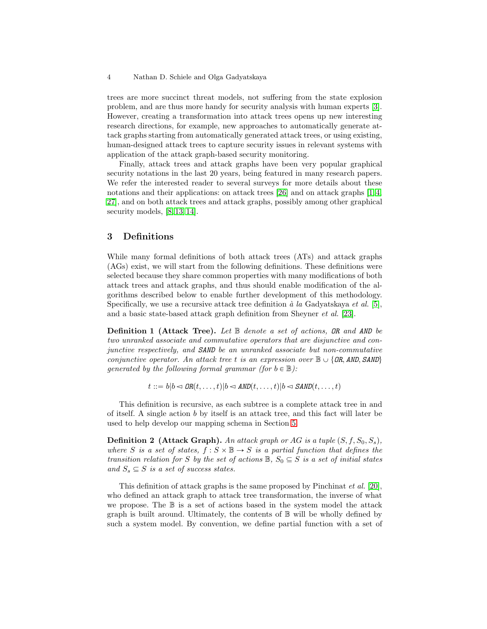trees are more succinct threat models, not suffering from the state explosion problem, and are thus more handy for security analysis with human experts [\[3\]](#page-16-15). However, creating a transformation into attack trees opens up new interesting research directions, for example, new approaches to automatically generate attack graphs starting from automatically generated attack trees, or using existing, human-designed attack trees to capture security issues in relevant systems with application of the attack graph-based security monitoring.

Finally, attack trees and attack graphs have been very popular graphical security notations in the last 20 years, being featured in many research papers. We refer the interested reader to several surveys for more details about these notations and their applications: on attack trees  $[26]$  and on attack graphs  $[1, 4]$ , [27\]](#page-17-5), and on both attack trees and attack graphs, possibly among other graphical security models, [\[8,](#page-16-17) [13,](#page-16-18) [14\]](#page-16-13).

### <span id="page-3-2"></span>3 Definitions

While many formal definitions of both attack trees (ATs) and attack graphs (AGs) exist, we will start from the following definitions. These definitions were selected because they share common properties with many modifications of both attack trees and attack graphs, and thus should enable modification of the algorithms described below to enable further development of this methodology. Specifically, we use a recursive attack tree definition  $\dot{a}$  la Gadyatskaya et al. [\[5\]](#page-16-7), and a basic state-based attack graph definition from Sheyner et al. [\[23\]](#page-17-0).

<span id="page-3-0"></span>**Definition 1 (Attack Tree).** Let  $\mathbb{B}$  denote a set of actions, OR and AND be two unranked associate and commutative operators that are disjunctive and conjunctive respectively, and SAND be an unranked associate but non-commutative conjunctive operator. An attack tree t is an expression over  $\mathbb{B} \cup \{OR, AND, SAMD\}$ generated by the following formal grammar (for  $b \in \mathbb{B}$ ):

 $t ::= b|b \triangleleft \textit{OR}(t, \ldots, t)|b \triangleleft \textit{AND}(t, \ldots, t)|b \triangleleft \textit{SAND}(t, \ldots, t)$ 

This definition is recursive, as each subtree is a complete attack tree in and of itself. A single action b by itself is an attack tree, and this fact will later be used to help develop our mapping schema in Section [5.](#page-6-0)

<span id="page-3-1"></span>**Definition 2 (Attack Graph).** An attack graph or AG is a tuple  $(S, f, S_0, S_s)$ , where S is a set of states,  $f : S \times \mathbb{B} \to S$  is a partial function that defines the transition relation for S by the set of actions  $\mathbb{B}, S_0 \subseteq S$  is a set of initial states and  $S_s \subseteq S$  is a set of success states.

This definition of attack graphs is the same proposed by Pinchinat et al. [\[20\]](#page-16-4), who defined an attack graph to attack tree transformation, the inverse of what we propose. The B is a set of actions based in the system model the attack graph is built around. Ultimately, the contents of B will be wholly defined by such a system model. By convention, we define partial function with a set of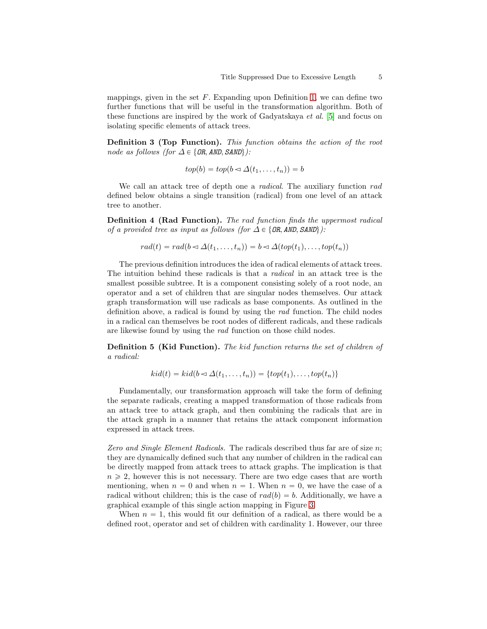mappings, given in the set  $F$ . Expanding upon Definition [1,](#page-3-0) we can define two further functions that will be useful in the transformation algorithm. Both of these functions are inspired by the work of Gadyatskaya et al. [\[5\]](#page-16-7) and focus on isolating specific elements of attack trees.

Definition 3 (Top Function). This function obtains the action of the root *node as follows (for*  $\Delta \in \{OR, AND, SAND\}$ ):

$$
top(b) = top(b \lhd \Delta(t_1, \ldots, t_n)) = b
$$

We call an attack tree of depth one a *radical*. The auxiliary function rad defined below obtains a single transition (radical) from one level of an attack tree to another.

Definition 4 (Rad Function). The rad function finds the uppermost radical of a provided tree as input as follows (for  $\Delta \in \{OR, AND, SAND\}$ ):

$$
rad(t) = rad(b \triangleleft \Delta(t_1, \ldots, t_n)) = b \triangleleft \Delta(top(t_1), \ldots, top(t_n))
$$

The previous definition introduces the idea of radical elements of attack trees. The intuition behind these radicals is that a radical in an attack tree is the smallest possible subtree. It is a component consisting solely of a root node, an operator and a set of children that are singular nodes themselves. Our attack graph transformation will use radicals as base components. As outlined in the definition above, a radical is found by using the rad function. The child nodes in a radical can themselves be root nodes of different radicals, and these radicals are likewise found by using the rad function on those child nodes.

Definition 5 (Kid Function). The kid function returns the set of children of a radical:

$$
kid(t) = kid(b \lhd \Delta(t_1, \ldots, t_n)) = \{top(t_1), \ldots, top(t_n)\}
$$

Fundamentally, our transformation approach will take the form of defining the separate radicals, creating a mapped transformation of those radicals from an attack tree to attack graph, and then combining the radicals that are in the attack graph in a manner that retains the attack component information expressed in attack trees.

Zero and Single Element Radicals. The radicals described thus far are of size  $n$ ; they are dynamically defined such that any number of children in the radical can be directly mapped from attack trees to attack graphs. The implication is that  $n \geq 2$ , however this is not necessary. There are two edge cases that are worth mentioning, when  $n = 0$  and when  $n = 1$ . When  $n = 0$ , we have the case of a radical without children; this is the case of  $rad(b) = b$ . Additionally, we have a graphical example of this single action mapping in Figure [3.](#page-7-0)

When  $n = 1$ , this would fit our definition of a radical, as there would be a defined root, operator and set of children with cardinality 1. However, our three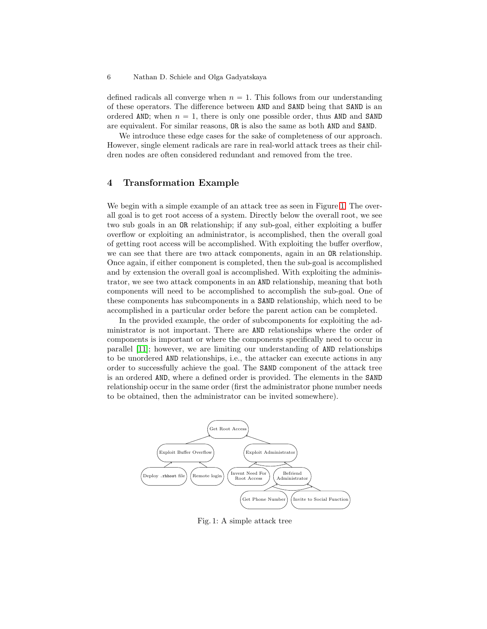defined radicals all converge when  $n = 1$ . This follows from our understanding of these operators. The difference between AND and SAND being that SAND is an ordered AND; when  $n = 1$ , there is only one possible order, thus AND and SAND are equivalent. For similar reasons, OR is also the same as both AND and SAND.

We introduce these edge cases for the sake of completeness of our approach. However, single element radicals are rare in real-world attack trees as their children nodes are often considered redundant and removed from the tree.

# <span id="page-5-1"></span>4 Transformation Example

We begin with a simple example of an attack tree as seen in Figure [1.](#page-5-0) The overall goal is to get root access of a system. Directly below the overall root, we see two sub goals in an OR relationship; if any sub-goal, either exploiting a buffer overflow or exploiting an administrator, is accomplished, then the overall goal of getting root access will be accomplished. With exploiting the buffer overflow, we can see that there are two attack components, again in an OR relationship. Once again, if either component is completed, then the sub-goal is accomplished and by extension the overall goal is accomplished. With exploiting the administrator, we see two attack components in an AND relationship, meaning that both components will need to be accomplished to accomplish the sub-goal. One of these components has subcomponents in a SAND relationship, which need to be accomplished in a particular order before the parent action can be completed.

In the provided example, the order of subcomponents for exploiting the administrator is not important. There are AND relationships where the order of components is important or where the components specifically need to occur in parallel [\[11\]](#page-16-6); however, we are limiting our understanding of AND relationships to be unordered AND relationships, i.e., the attacker can execute actions in any order to successfully achieve the goal. The SAND component of the attack tree is an ordered AND, where a defined order is provided. The elements in the SAND relationship occur in the same order (first the administrator phone number needs to be obtained, then the administrator can be invited somewhere).

<span id="page-5-0"></span>

Fig. 1: A simple attack tree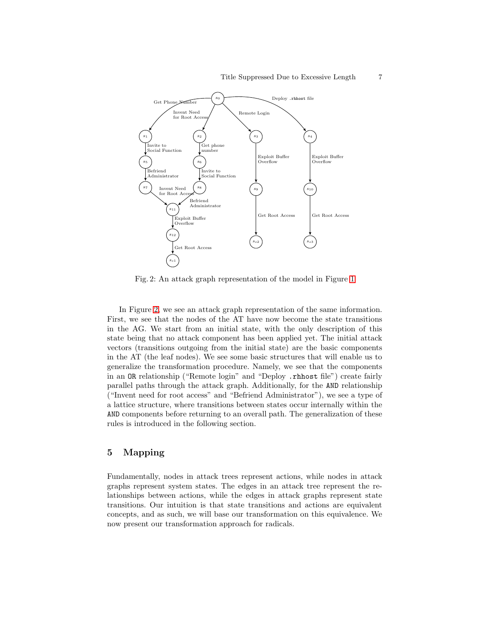<span id="page-6-1"></span>

Fig. 2: An attack graph representation of the model in Figure [1](#page-5-0)

In Figure [2,](#page-6-1) we see an attack graph representation of the same information. First, we see that the nodes of the AT have now become the state transitions in the AG. We start from an initial state, with the only description of this state being that no attack component has been applied yet. The initial attack vectors (transitions outgoing from the initial state) are the basic components in the AT (the leaf nodes). We see some basic structures that will enable us to generalize the transformation procedure. Namely, we see that the components in an OR relationship ("Remote login" and "Deploy .rhhost file") create fairly parallel paths through the attack graph. Additionally, for the AND relationship ("Invent need for root access" and "Befriend Administrator"), we see a type of a lattice structure, where transitions between states occur internally within the AND components before returning to an overall path. The generalization of these rules is introduced in the following section.

# <span id="page-6-0"></span>5 Mapping

Fundamentally, nodes in attack trees represent actions, while nodes in attack graphs represent system states. The edges in an attack tree represent the relationships between actions, while the edges in attack graphs represent state transitions. Our intuition is that state transitions and actions are equivalent concepts, and as such, we will base our transformation on this equivalence. We now present our transformation approach for radicals.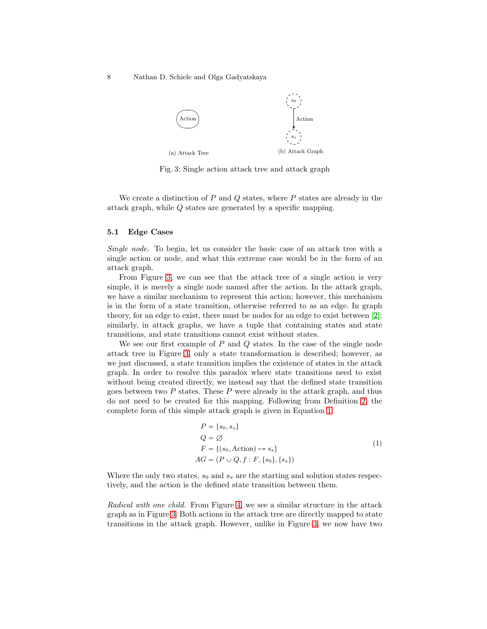<span id="page-7-0"></span>

Fig. 3: Single action attack tree and attack graph

We create a distinction of  $P$  and  $Q$  states, where  $P$  states are already in the attack graph, while Q states are generated by a specific mapping.

#### 5.1 Edge Cases

Single node. To begin, let us consider the basic case of an attack tree with a single action or node, and what this extreme case would be in the form of an attack graph.

From Figure [3,](#page-7-0) we can see that the attack tree of a single action is very simple, it is merely a single node named after the action. In the attack graph, we have a similar mechanism to represent this action; however, this mechanism is in the form of a state transition, otherwise referred to as an edge. In graph theory, for an edge to exist, there must be nodes for an edge to exist between [\[2\]](#page-16-19); similarly, in attack graphs, we have a tuple that containing states and state transitions, and state transitions cannot exist without states.

We see our first example of  $P$  and  $Q$  states. In the case of the single node attack tree in Figure [3,](#page-7-0) only a state transformation is described; however, as we just discussed, a state transition implies the existence of states in the attack graph. In order to resolve this paradox where state transitions need to exist without being created directly, we instead say that the defined state transition goes between two  $P$  states. These  $P$  were already in the attack graph, and thus do not need to be created for this mapping. Following from Definition [2,](#page-3-1) the complete form of this simple attack graph is given in Equation [1.](#page-7-1)

<span id="page-7-1"></span>
$$
P = \{s_0, s_s\}
$$
  
\n
$$
Q = \emptyset
$$
  
\n
$$
F = \{(s_0, \text{Action}) \mapsto s_s\}
$$
  
\n
$$
AG = (P \cup Q, f : F, \{s_0\}, \{s_s\})
$$
\n(1)

Where the only two states,  $s_0$  and  $s_s$  are the starting and solution states respectively, and the action is the defined state transition between them.

Radical with one child. From Figure [4,](#page-8-0) we see a similar structure in the attack graph as in Figure [3.](#page-7-0) Both actions in the attack tree are directly mapped to state transitions in the attack graph. However, unlike in Figure [3,](#page-7-0) we now have two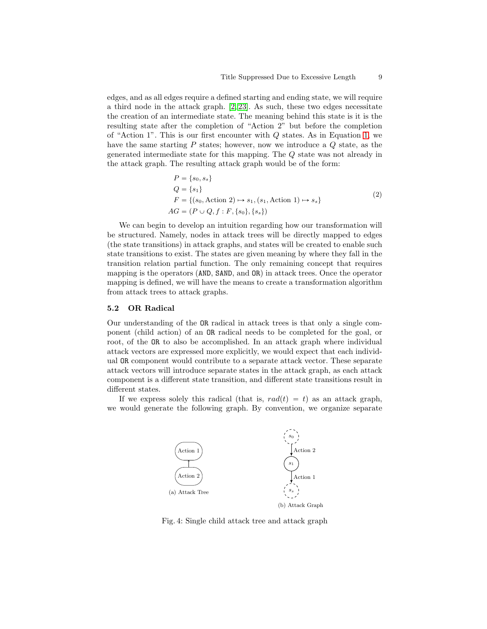edges, and as all edges require a defined starting and ending state, we will require a third node in the attack graph. [\[2,](#page-16-19) [23\]](#page-17-0). As such, these two edges necessitate the creation of an intermediate state. The meaning behind this state is it is the resulting state after the completion of "Action 2" but before the completion of "Action 1". This is our first encounter with  $Q$  states. As in Equation [1,](#page-7-1) we have the same starting P states; however, now we introduce a Q state, as the generated intermediate state for this mapping. The Q state was not already in the attack graph. The resulting attack graph would be of the form:

<span id="page-8-1"></span>
$$
P = \{s_0, s_s\}
$$
  
\n
$$
Q = \{s_1\}
$$
  
\n
$$
F = \{(s_0, \text{Action 2}) \mapsto s_1, (s_1, \text{Action 1}) \mapsto s_s\}
$$
  
\n
$$
AG = (P \cup Q, f : F, \{s_0\}, \{s_s\})
$$
\n(2)

We can begin to develop an intuition regarding how our transformation will be structured. Namely, nodes in attack trees will be directly mapped to edges (the state transitions) in attack graphs, and states will be created to enable such state transitions to exist. The states are given meaning by where they fall in the transition relation partial function. The only remaining concept that requires mapping is the operators (AND, SAND, and OR) in attack trees. Once the operator mapping is defined, we will have the means to create a transformation algorithm from attack trees to attack graphs.

#### 5.2 OR Radical

Our understanding of the OR radical in attack trees is that only a single component (child action) of an OR radical needs to be completed for the goal, or root, of the OR to also be accomplished. In an attack graph where individual attack vectors are expressed more explicitly, we would expect that each individual OR component would contribute to a separate attack vector. These separate attack vectors will introduce separate states in the attack graph, as each attack component is a different state transition, and different state transitions result in different states.

<span id="page-8-0"></span>If we express solely this radical (that is,  $rad(t) = t$ ) as an attack graph, we would generate the following graph. By convention, we organize separate



Fig. 4: Single child attack tree and attack graph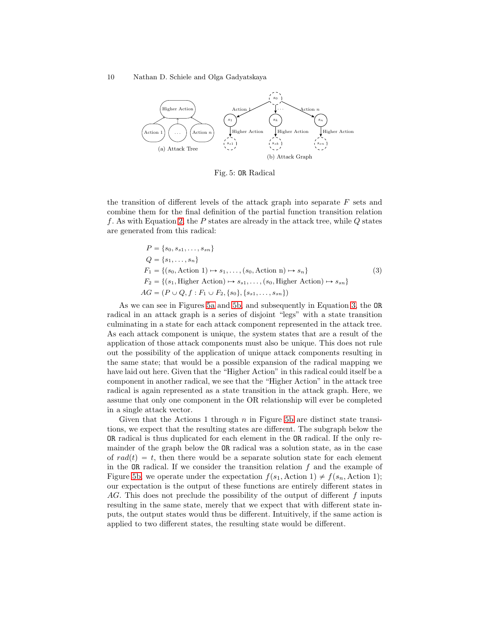<span id="page-9-0"></span>10 Nathan D. Schiele and Olga Gadyatskaya



Fig. 5: OR Radical

the transition of different levels of the attack graph into separate  $F$  sets and combine them for the final definition of the partial function transition relation f. As with Equation [2,](#page-8-1) the  $P$  states are already in the attack tree, while  $Q$  states are generated from this radical:

<span id="page-9-1"></span>
$$
P = \{s_0, s_{s1}, \dots, s_{sn}\}
$$
  
\n
$$
Q = \{s_1, \dots, s_n\}
$$
  
\n
$$
F_1 = \{(s_0, \text{Action 1}) \mapsto s_1, \dots, (s_0, \text{Action n}) \mapsto s_n\}
$$
  
\n
$$
F_2 = \{(s_1, \text{Higher Action}) \mapsto s_{s1}, \dots, (s_0, \text{Higher Action}) \mapsto s_{sn}\}
$$
  
\n
$$
AG = (P \cup Q, f : F_1 \cup F_2, \{s_0\}, \{s_{s1}, \dots, s_{sn}\})
$$
\n(3)

As we can see in Figures [5a](#page-9-0) and [5b,](#page-9-0) and subsequently in Equation [3,](#page-9-1) the OR radical in an attack graph is a series of disjoint "legs" with a state transition culminating in a state for each attack component represented in the attack tree. As each attack component is unique, the system states that are a result of the application of those attack components must also be unique. This does not rule out the possibility of the application of unique attack components resulting in the same state; that would be a possible expansion of the radical mapping we have laid out here. Given that the "Higher Action" in this radical could itself be a component in another radical, we see that the "Higher Action" in the attack tree radical is again represented as a state transition in the attack graph. Here, we assume that only one component in the OR relationship will ever be completed in a single attack vector.

Given that the Actions 1 through  $n$  in Figure [5b](#page-9-0) are distinct state transitions, we expect that the resulting states are different. The subgraph below the OR radical is thus duplicated for each element in the OR radical. If the only remainder of the graph below the OR radical was a solution state, as in the case of  $rad(t) = t$ , then there would be a separate solution state for each element in the  $OR$  radical. If we consider the transition relation  $f$  and the example of Figure [5b,](#page-9-0) we operate under the expectation  $f(s_1, \text{Action 1}) \neq f(s_n, \text{Action 1})$ ; our expectation is the output of these functions are entirely different states in AG. This does not preclude the possibility of the output of different  $f$  inputs resulting in the same state, merely that we expect that with different state inputs, the output states would thus be different. Intuitively, if the same action is applied to two different states, the resulting state would be different.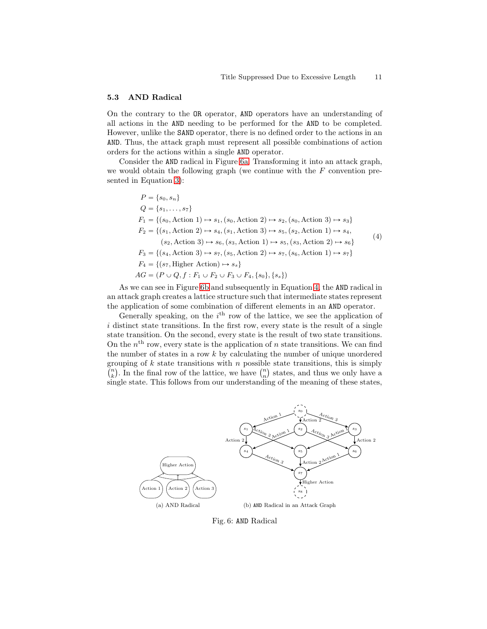# 5.3 AND Radical

On the contrary to the OR operator, AND operators have an understanding of all actions in the AND needing to be performed for the AND to be completed. However, unlike the SAND operator, there is no defined order to the actions in an AND. Thus, the attack graph must represent all possible combinations of action orders for the actions within a single AND operator.

Consider the AND radical in Figure [6a.](#page-10-0) Transforming it into an attack graph, we would obtain the following graph (we continue with the  $F$  convention presented in Equation [3\)](#page-9-1):

<span id="page-10-1"></span>
$$
P = \{s_0, s_n\}
$$
  
\n
$$
Q = \{s_1, \ldots, s_7\}
$$
  
\n
$$
F_1 = \{(s_0, \text{Action } 1) \mapsto s_1, (s_0, \text{Action } 2) \mapsto s_2, (s_0, \text{Action } 3) \mapsto s_3\}
$$
  
\n
$$
F_2 = \{(s_1, \text{Action } 2) \mapsto s_4, (s_1, \text{Action } 3) \mapsto s_5, (s_2, \text{Action } 1) \mapsto s_4, (s_2, \text{Action } 3) \mapsto s_6, (s_3, \text{Action } 1) \mapsto s_5, (s_3, \text{Action } 2) \mapsto s_6\}
$$
  
\n
$$
F_3 = \{(s_4, \text{Action } 3) \mapsto s_7, (s_5, \text{Action } 2) \mapsto s_7, (s_6, \text{Action } 1) \mapsto s_7\}
$$
  
\n
$$
F_4 = \{(s_7, \text{Higher Action}) \mapsto s_s\}
$$
  
\n
$$
AG = (P \cup Q, f : F_1 \cup F_2 \cup F_3 \cup F_4, \{s_0\}, \{s_s\})
$$

As we can see in Figure [6b](#page-10-0) and subsequently in Equation [4,](#page-10-1) the AND radical in an attack graph creates a lattice structure such that intermediate states represent the application of some combination of different elements in an AND operator.

Generally speaking, on the  $i<sup>th</sup>$  row of the lattice, we see the application of i distinct state transitions. In the first row, every state is the result of a single state transition. On the second, every state is the result of two state transitions. On the  $n<sup>th</sup>$  row, every state is the application of n state transitions. We can find the number of states in a row  $k$  by calculating the number of unique unordered grouping of  $k$  state transitions with  $n$  possible state transitions, this is simply  $\binom{n}{k}$ . In the final row of the lattice, we have  $\binom{n}{n}$  states, and thus we only have a single state. This follows from our understanding of the meaning of these states,

<span id="page-10-0"></span>

Fig. 6: AND Radical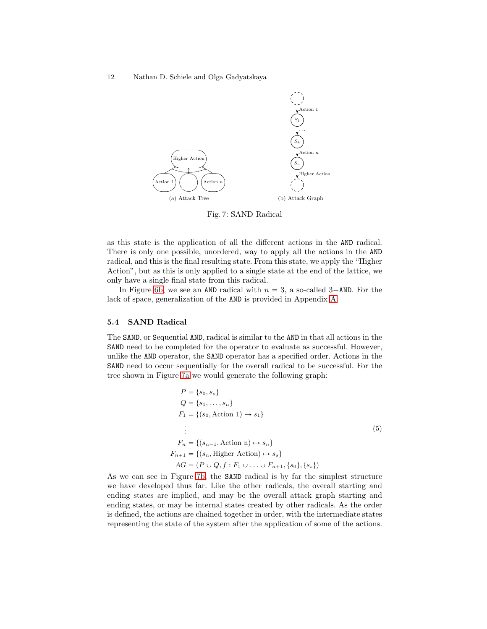<span id="page-11-0"></span>

Fig. 7: SAND Radical

as this state is the application of all the different actions in the AND radical. There is only one possible, unordered, way to apply all the actions in the AND radical, and this is the final resulting state. From this state, we apply the "Higher Action", but as this is only applied to a single state at the end of the lattice, we only have a single final state from this radical.

In Figure [6b,](#page-10-0) we see an AND radical with  $n = 3$ , a so-called 3-AND. For the lack of space, generalization of the AND is provided in Appendix [A.](#page-17-6)

#### 5.4 SAND Radical

The SAND, or Sequential AND, radical is similar to the AND in that all actions in the SAND need to be completed for the operator to evaluate as successful. However, unlike the AND operator, the SAND operator has a specified order. Actions in the SAND need to occur sequentially for the overall radical to be successful. For the tree shown in Figure [7a](#page-11-0) we would generate the following graph:

$$
P = \{s_0, s_s\}
$$
  
\n
$$
Q = \{s_1, \dots, s_n\}
$$
  
\n
$$
F_1 = \{(s_0, \text{Action 1}) \mapsto s_1\}
$$
  
\n
$$
\vdots
$$
  
\n
$$
F_n = \{(s_{n-1}, \text{Action n}) \mapsto s_n\}
$$
  
\n
$$
F_{n+1} = \{(s_n, \text{Higher Action}) \mapsto s_s\}
$$
  
\n
$$
AG = (P \cup Q, f : F_1 \cup \ldots \cup F_{n+1}, \{s_0\}, \{s_s\})
$$

As we can see in Figure [7b,](#page-11-0) the SAND radical is by far the simplest structure we have developed thus far. Like the other radicals, the overall starting and ending states are implied, and may be the overall attack graph starting and ending states, or may be internal states created by other radicals. As the order is defined, the actions are chained together in order, with the intermediate states representing the state of the system after the application of some of the actions.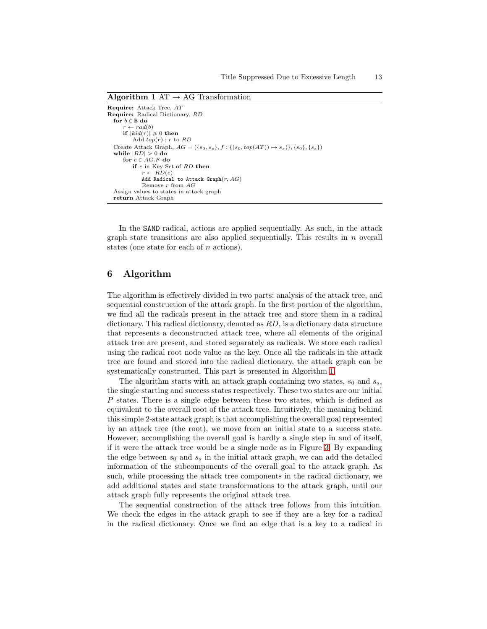<span id="page-12-0"></span>Algorithm 1 AT  $\rightarrow$  AG Transformation

```
Require: Attack Tree, AT
Require: Radical Dictionary, RD
  for b \in \mathbb{B} do
      r \leftarrow rad(b)if |kid(r)| \geqslant 0 then
          Add top(r): r to RDCreate Attack Graph, AG = (\{s_0, s_s\}, f : \{(s_0, top(AT)) \mapsto s_s\}, \{s_0\}, \{s_s\})while |RD| > 0 do
      for e\in AG.F do
          if e in Key Set of RD then
             r \leftarrow R\bar{D}(e)Add Radical to Attack \text{Graph}(r, AG)Remove r from AG
  Assign values to states in attack graph
  return Attack Graph
```
In the SAND radical, actions are applied sequentially. As such, in the attack graph state transitions are also applied sequentially. This results in  $n$  overall states (one state for each of n actions).

### 6 Algorithm

The algorithm is effectively divided in two parts: analysis of the attack tree, and sequential construction of the attack graph. In the first portion of the algorithm, we find all the radicals present in the attack tree and store them in a radical dictionary. This radical dictionary, denoted as RD, is a dictionary data structure that represents a deconstructed attack tree, where all elements of the original attack tree are present, and stored separately as radicals. We store each radical using the radical root node value as the key. Once all the radicals in the attack tree are found and stored into the radical dictionary, the attack graph can be systematically constructed. This part is presented in Algorithm [1.](#page-12-0)

The algorithm starts with an attack graph containing two states,  $s_0$  and  $s_s$ , the single starting and success states respectively. These two states are our initial P states. There is a single edge between these two states, which is defined as equivalent to the overall root of the attack tree. Intuitively, the meaning behind this simple 2-state attack graph is that accomplishing the overall goal represented by an attack tree (the root), we move from an initial state to a success state. However, accomplishing the overall goal is hardly a single step in and of itself, if it were the attack tree would be a single node as in Figure [3.](#page-7-0) By expanding the edge between  $s_0$  and  $s_s$  in the initial attack graph, we can add the detailed information of the subcomponents of the overall goal to the attack graph. As such, while processing the attack tree components in the radical dictionary, we add additional states and state transformations to the attack graph, until our attack graph fully represents the original attack tree.

The sequential construction of the attack tree follows from this intuition. We check the edges in the attack graph to see if they are a key for a radical in the radical dictionary. Once we find an edge that is a key to a radical in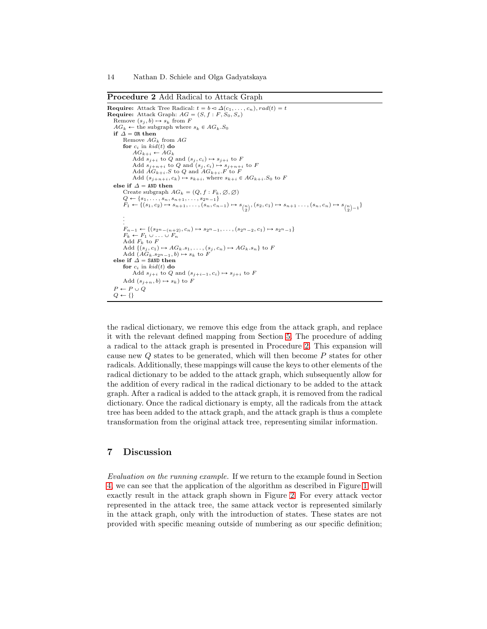<span id="page-13-1"></span>Procedure 2 Add Radical to Attack Graph

```
Require: Attack Tree Radical: t = b \triangleleft \Delta(c_1, \ldots, c_n), rad(t) = tRequire: Attack Graph: AG = (S, f : F, S_0, S_s)Remove (s_j, b) \mapsto s_k from F
   AG_k \leftarrow the subgraph where s_k \in AG_k.S_0if \varDelta = 0\texttt{R} then
        Remove AG_k from AGfor c_i in kid(t) do
             AG_{k+i} \leftarrow AG_kAdd s_{i+i} to Q and (s_i, c_i) \mapsto s_{i+i} to F
              Add s_{j+n+i} to Q and (s_j, c_i) \mapsto s_{j+n+i} to F<br>Add AG_{k+i}.S to Q and AG_{k+i}.F to F
             Add (s_{j+n+i}, c_k) \mapsto s_{k+i}, where s_{k+i} \in AG_{k+i}. S<sub>0</sub> to F
   else if \Delta = AND then
        Create subgraph AG_k = (Q, f : F_k, \emptyset, \emptyset)Q \leftarrow \{s_1, \ldots, s_n, s_{n+1}, \ldots, s_{2^{n}-1}\}F_1 \leftarrow \{(s_1, c_2) \mapsto s_{n+1}, \ldots, (s_n, c_{n-1}) \mapsto s_{\binom{n}{2}}, (s_2, c_1) \mapsto s_{n+1} \ldots, (s_n, c_n) \mapsto s_{\binom{n}{2}-1}\}.
         .
         :<br>
F_{k} \leftarrow F_1 \cup \ldots \cup F_2, \, c_n \mapsto s_{2^n-1}, \ldots, (s_{2^n-2}, c_1) \mapsto s_{2^n-1} \}<br>
Add F_k to FAdd \{(s_j, c_1) \mapsto AG_k.s_1, \ldots, (s_j, c_n) \mapsto AG_k.s_n\} to F
         Add (AG_k.s_{2^n-1}, b) \mapsto s_k to F
   else if \Delta = SAND then
        for c_i in kid(t) do
             Add s_{j+i} to Q and (s_{j+i-1}, c_i) \mapsto s_{j+i} to F
        Add (s_{i+n}, b) \mapsto s_k to F
   P \leftarrow P \cup QQ \leftarrow \{\}
```
the radical dictionary, we remove this edge from the attack graph, and replace it with the relevant defined mapping from Section [5.](#page-6-0) The procedure of adding a radical to the attack graph is presented in Procedure [2.](#page-13-1) This expansion will cause new Q states to be generated, which will then become P states for other radicals. Additionally, these mappings will cause the keys to other elements of the radical dictionary to be added to the attack graph, which subsequently allow for the addition of every radical in the radical dictionary to be added to the attack graph. After a radical is added to the attack graph, it is removed from the radical dictionary. Once the radical dictionary is empty, all the radicals from the attack tree has been added to the attack graph, and the attack graph is thus a complete transformation from the original attack tree, representing similar information.

#### <span id="page-13-0"></span>7 Discussion

Evaluation on the running example. If we return to the example found in Section [4,](#page-5-1) we can see that the application of the algorithm as described in Figure [1](#page-5-0) will exactly result in the attack graph shown in Figure [2.](#page-6-1) For every attack vector represented in the attack tree, the same attack vector is represented similarly in the attack graph, only with the introduction of states. These states are not provided with specific meaning outside of numbering as our specific definition;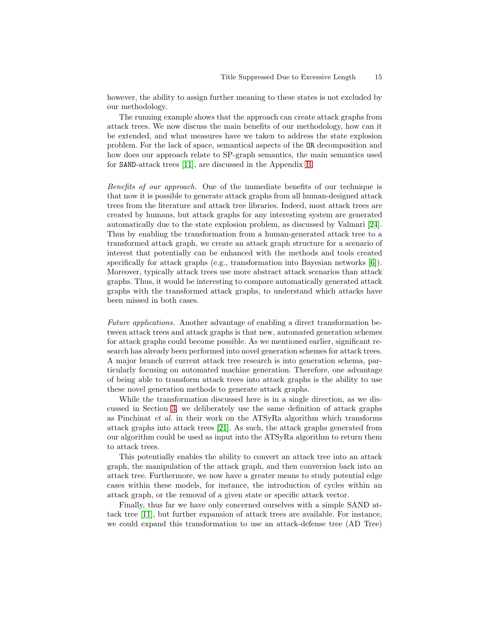however, the ability to assign further meaning to these states is not excluded by our methodology.

The running example shows that the approach can create attack graphs from attack trees. We now discuss the main benefits of our methodology, how can it be extended, and what measures have we taken to address the state explosion problem. For the lack of space, semantical aspects of the OR decomposition and how does our approach relate to SP-graph semantics, the main semantics used for SAND-attack trees [\[11\]](#page-16-6), are discussed in the Appendix [B.](#page-17-7)

Benefits of our approach. One of the immediate benefits of our technique is that now it is possible to generate attack graphs from all human-designed attack trees from the literature and attack tree libraries. Indeed, most attack trees are created by humans, but attack graphs for any interesting system are generated automatically due to the state explosion problem, as discussed by Valmari [\[24\]](#page-17-1). Thus by enabling the transformation from a human-generated attack tree to a transformed attack graph, we create an attack graph structure for a scenario of interest that potentially can be enhanced with the methods and tools created specifically for attack graphs (e.g., transformation into Bayesian networks [\[6\]](#page-16-2)). Moreover, typically attack trees use more abstract attack scenarios than attack graphs. Thus, it would be interesting to compare automatically generated attack graphs with the transformed attack graphs, to understand which attacks have been missed in both cases.

Future applications. Another advantage of enabling a direct transformation between attack trees and attack graphs is that new, automated generation schemes for attack graphs could become possible. As we mentioned earlier, significant research has already been performed into novel generation schemes for attack trees. A major branch of current attack tree research is into generation schema, particularly focusing on automated machine generation. Therefore, one advantage of being able to transform attack trees into attack graphs is the ability to use these novel generation methods to generate attack graphs.

While the transformation discussed here is in a single direction, as we discussed in Section [3,](#page-3-2) we deliberately use the same definition of attack graphs as Pinchinat et al. in their work on the ATSyRa algorithm which transforms attack graphs into attack trees [\[21\]](#page-16-14). As such, the attack graphs generated from our algorithm could be used as input into the ATSyRa algorithm to return them to attack trees.

This potentially enables the ability to convert an attack tree into an attack graph, the manipulation of the attack graph, and then conversion back into an attack tree. Furthermore, we now have a greater means to study potential edge cases within these models, for instance, the introduction of cycles within an attack graph, or the removal of a given state or specific attack vector.

Finally, thus far we have only concerned ourselves with a simple SAND attack tree [\[11\]](#page-16-6), but further expansion of attack trees are available. For instance, we could expand this transformation to use an attack-defense tree (AD Tree)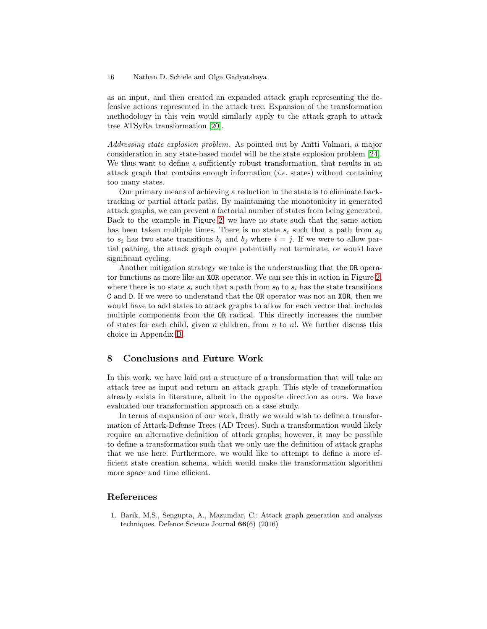as an input, and then created an expanded attack graph representing the defensive actions represented in the attack tree. Expansion of the transformation methodology in this vein would similarly apply to the attack graph to attack tree ATSyRa transformation [\[20\]](#page-16-4).

Addressing state explosion problem. As pointed out by Antti Valmari, a major consideration in any state-based model will be the state explosion problem [\[24\]](#page-17-1). We thus want to define a sufficiently robust transformation, that results in an attack graph that contains enough information (i.e. states) without containing too many states.

Our primary means of achieving a reduction in the state is to eliminate backtracking or partial attack paths. By maintaining the monotonicity in generated attack graphs, we can prevent a factorial number of states from being generated. Back to the example in Figure [2,](#page-6-1) we have no state such that the same action has been taken multiple times. There is no state  $s_i$  such that a path from  $s_0$ to  $s_i$  has two state transitions  $b_i$  and  $b_j$  where  $i = j$ . If we were to allow partial pathing, the attack graph couple potentially not terminate, or would have significant cycling.

Another mitigation strategy we take is the understanding that the OR operator functions as more like an XOR operator. We can see this in action in Figure [2,](#page-6-1) where there is no state  $s_i$  such that a path from  $s_0$  to  $s_i$  has the state transitions C and D. If we were to understand that the OR operator was not an XOR, then we would have to add states to attack graphs to allow for each vector that includes multiple components from the OR radical. This directly increases the number of states for each child, given n children, from n to n!. We further discuss this choice in Appendix [B.](#page-17-7)

# 8 Conclusions and Future Work

In this work, we have laid out a structure of a transformation that will take an attack tree as input and return an attack graph. This style of transformation already exists in literature, albeit in the opposite direction as ours. We have evaluated our transformation approach on a case study.

In terms of expansion of our work, firstly we would wish to define a transformation of Attack-Defense Trees (AD Trees). Such a transformation would likely require an alternative definition of attack graphs; however, it may be possible to define a transformation such that we only use the definition of attack graphs that we use here. Furthermore, we would like to attempt to define a more efficient state creation schema, which would make the transformation algorithm more space and time efficient.

# References

<span id="page-15-0"></span>1. Barik, M.S., Sengupta, A., Mazumdar, C.: Attack graph generation and analysis techniques. Defence Science Journal 66(6) (2016)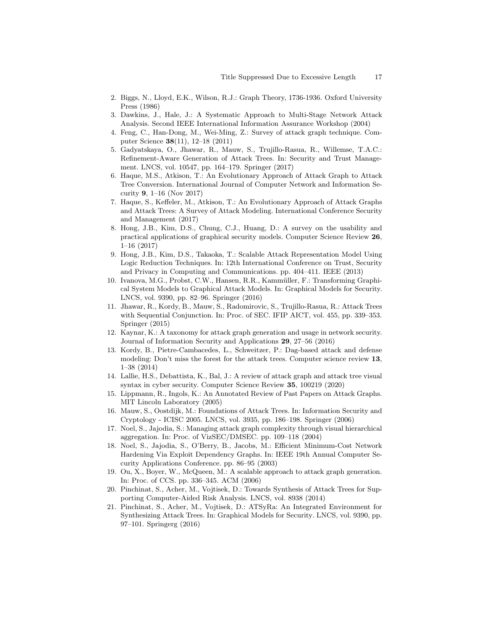- <span id="page-16-19"></span><span id="page-16-15"></span>2. Biggs, N., Lloyd, E.K., Wilson, R.J.: Graph Theory, 1736-1936. Oxford University Press (1986)
- <span id="page-16-16"></span>3. Dawkins, J., Hale, J.: A Systematic Approach to Multi-Stage Network Attack Analysis. Second IEEE International Information Assurance Workshop (2004)
- 4. Feng, C., Han-Dong, M., Wei-Ming, Z.: Survey of attack graph technique. Computer Science 38(11), 12–18 (2011)
- <span id="page-16-7"></span>5. Gadyatskaya, O., Jhawar, R., Mauw, S., Trujillo-Rasua, R., Willemse, T.A.C.: Refinement-Aware Generation of Attack Trees. In: Security and Trust Management. LNCS, vol. 10547, pp. 164–179. Springer (2017)
- <span id="page-16-2"></span>6. Haque, M.S., Atkison, T.: An Evolutionary Approach of Attack Graph to Attack Tree Conversion. International Journal of Computer Network and Information Security 9, 1–16 (Nov 2017)
- <span id="page-16-0"></span>7. Haque, S., Keffeler, M., Atkison, T.: An Evolutionary Approach of Attack Graphs and Attack Trees: A Survey of Attack Modeling. International Conference Security and Management (2017)
- <span id="page-16-17"></span>8. Hong, J.B., Kim, D.S., Chung, C.J., Huang, D.: A survey on the usability and practical applications of graphical security models. Computer Science Review 26, 1–16 (2017)
- <span id="page-16-3"></span>9. Hong, J.B., Kim, D.S., Takaoka, T.: Scalable Attack Representation Model Using Logic Reduction Techniques. In: 12th International Conference on Trust, Security and Privacy in Computing and Communications. pp. 404–411. IEEE (2013)
- <span id="page-16-8"></span>10. Ivanova, M.G., Probst, C.W., Hansen, R.R., Kammüller, F.: Transforming Graphical System Models to Graphical Attack Models. In: Graphical Models for Security. LNCS, vol. 9390, pp. 82–96. Springer (2016)
- <span id="page-16-6"></span>11. Jhawar, R., Kordy, B., Mauw, S., Radomirovic, S., Trujillo-Rasua, R.: Attack Trees with Sequential Conjunction. In: Proc. of SEC. IFIP AICT, vol. 455, pp. 339–353. Springer (2015)
- <span id="page-16-1"></span>12. Kaynar, K.: A taxonomy for attack graph generation and usage in network security. Journal of Information Security and Applications 29, 27–56 (2016)
- <span id="page-16-18"></span>13. Kordy, B., Pietre-Cambacedes, L., Schweitzer, P.: Dag-based attack and defense modeling: Don't miss the forest for the attack trees. Computer science review 13, 1–38 (2014)
- <span id="page-16-13"></span>14. Lallie, H.S., Debattista, K., Bal, J.: A review of attack graph and attack tree visual syntax in cyber security. Computer Science Review 35, 100219 (2020)
- <span id="page-16-12"></span>15. Lippmann, R., Ingols, K.: An Annotated Review of Past Papers on Attack Graphs. MIT Lincoln Laboratory (2005)
- <span id="page-16-5"></span>16. Mauw, S., Oostdijk, M.: Foundations of Attack Trees. In: Information Security and Cryptology - ICISC 2005. LNCS, vol. 3935, pp. 186–198. Springer (2006)
- <span id="page-16-9"></span>17. Noel, S., Jajodia, S.: Managing attack graph complexity through visual hierarchical aggregation. In: Proc. of VizSEC/DMSEC. pp. 109–118 (2004)
- <span id="page-16-10"></span>18. Noel, S., Jajodia, S., O'Berry, B., Jacobs, M.: Efficient Minimum-Cost Network Hardening Via Exploit Dependency Graphs. In: IEEE 19th Annual Computer Security Applications Conference. pp. 86–95 (2003)
- <span id="page-16-11"></span>19. Ou, X., Boyer, W., McQueen, M.: A scalable approach to attack graph generation. In: Proc. of CCS. pp. 336–345. ACM (2006)
- <span id="page-16-4"></span>20. Pinchinat, S., Acher, M., Vojtisek, D.: Towards Synthesis of Attack Trees for Supporting Computer-Aided Risk Analysis. LNCS, vol. 8938 (2014)
- <span id="page-16-14"></span>21. Pinchinat, S., Acher, M., Vojtisek, D.: ATSyRa: An Integrated Environment for Synthesizing Attack Trees. In: Graphical Models for Security. LNCS, vol. 9390, pp. 97–101. Springerg (2016)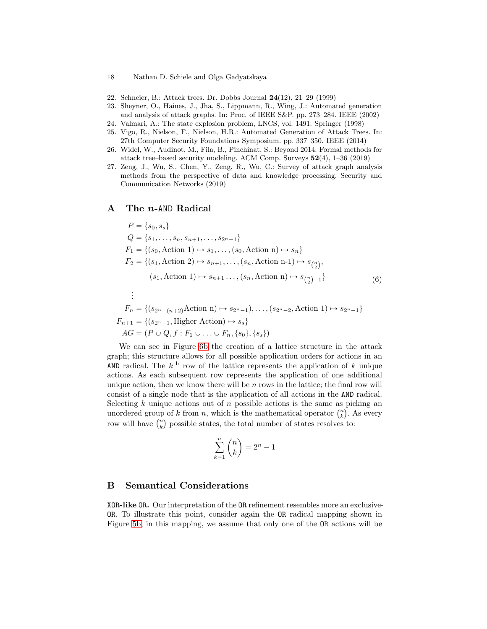- 18 Nathan D. Schiele and Olga Gadyatskaya
- <span id="page-17-3"></span><span id="page-17-0"></span>22. Schneier, B.: Attack trees. Dr. Dobbs Journal 24(12), 21–29 (1999)
- 23. Sheyner, O., Haines, J., Jha, S., Lippmann, R., Wing, J.: Automated generation and analysis of attack graphs. In: Proc. of IEEE S&P. pp. 273–284. IEEE (2002)
- <span id="page-17-4"></span><span id="page-17-1"></span>24. Valmari, A.: The state explosion problem, LNCS, vol. 1491. Springer (1998)
- 25. Vigo, R., Nielson, F., Nielson, H.R.: Automated Generation of Attack Trees. In: 27th Computer Security Foundations Symposium. pp. 337–350. IEEE (2014)
- <span id="page-17-2"></span>26. Wideł, W., Audinot, M., Fila, B., Pinchinat, S.: Beyond 2014: Formal methods for attack tree–based security modeling. ACM Comp. Surveys 52(4), 1–36 (2019)
- <span id="page-17-5"></span>27. Zeng, J., Wu, S., Chen, Y., Zeng, R., Wu, C.: Survey of attack graph analysis methods from the perspective of data and knowledge processing. Security and Communication Networks (2019)

# <span id="page-17-6"></span>A The n-AND Radical

$$
P = \{s_0, s_s\}
$$
  
\n
$$
Q = \{s_1, \dots, s_n, s_{n+1}, \dots, s_{2^n - 1}\}
$$
  
\n
$$
F_1 = \{(s_0, \text{Action 1}) \mapsto s_1, \dots, (s_0, \text{Action n}) \mapsto s_n\}
$$
  
\n
$$
F_2 = \{(s_1, \text{Action 2}) \mapsto s_{n+1}, \dots, (s_n, \text{Action n-1}) \mapsto s_{\binom{n}{2}},
$$
  
\n
$$
(s_1, \text{Action 1}) \mapsto s_{n+1} \dots, (s_n, \text{Action n}) \mapsto s_{\binom{n}{2} - 1}\}
$$
  
\n
$$
\vdots
$$

$$
F_n = \{ (s_{2^n-(n+2)} \text{Action n}) \mapsto s_{2^n-1}), \dots, (s_{2^n-2}, \text{Action 1}) \mapsto s_{2^n-1} \}
$$
  

$$
F_{n+1} = \{ (s_{2^n-1}, \text{Higher Action}) \mapsto s_s \}
$$
  

$$
AG = (P \cup Q, f : F_1 \cup \dots \cup F_n, \{s_0\}, \{s_s\})
$$

We can see in Figure [6b](#page-10-0) the creation of a lattice structure in the attack graph; this structure allows for all possible application orders for actions in an AND radical. The  $k^{\text{th}}$  row of the lattice represents the application of k unique actions. As each subsequent row represents the application of one additional unique action, then we know there will be  $n$  rows in the lattice; the final row will consist of a single node that is the application of all actions in the AND radical. Selecting k unique actions out of n possible actions is the same as picking an unordered group of k from n, which is the mathematical operator  $\binom{n}{k}$ . As every row will have  $\binom{n}{k}$  possible states, the total number of states resolves to:

$$
\sum_{k=1}^n \binom{n}{k} = 2^n-1
$$

### <span id="page-17-7"></span>B Semantical Considerations

XOR-like OR. Our interpretation of the OR refinement resembles more an exclusive-OR. To illustrate this point, consider again the OR radical mapping shown in Figure [5b,](#page-9-0) in this mapping, we assume that only one of the OR actions will be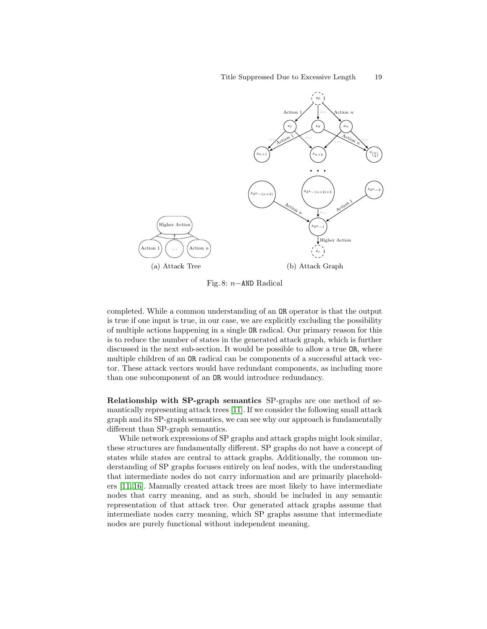

Fig. 8:  $n-$ AND Radical

completed. While a common understanding of an OR operator is that the output is true if one input is true, in our case, we are explicitly excluding the possibility of multiple actions happening in a single OR radical. Our primary reason for this is to reduce the number of states in the generated attack graph, which is further discussed in the next sub-section. It would be possible to allow a true OR, where multiple children of an OR radical can be components of a successful attack vector. These attack vectors would have redundant components, as including more than one subcomponent of an OR would introduce redundancy.

Relationship with SP-graph semantics SP-graphs are one method of semantically representing attack trees [\[11\]](#page-16-6). If we consider the following small attack graph and its SP-graph semantics, we can see why our approach is fundamentally different than SP-graph semantics.

While network expressions of SP graphs and attack graphs might look similar. these structures are fundamentally different. SP graphs do not have a concept of states while states are central to attack graphs. Additionally, the common understanding of SP graphs focuses entirely on leaf nodes, with the understanding that intermediate nodes do not carry information and are primarily placeholders [\[11,](#page-16-6) [16\]](#page-16-5). Manually created attack trees are most likely to have intermediate nodes that carry meaning, and as such, should be included in any semantic representation of that attack tree. Our generated attack graphs assume that intermediate nodes carry meaning, which SP graphs assume that intermediate nodes are purely functional without independent meaning.